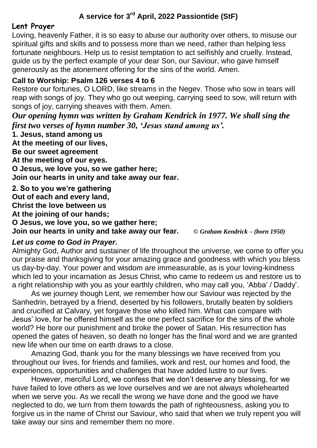# **A service for 3rd April, 2022 Passiontide (StF)**

## **Lent Prayer**

Loving, heavenly Father, it is so easy to abuse our authority over others, to misuse our spiritual gifts and skills and to possess more than we need, rather than helping less fortunate neighbours. Help us to resist temptation to act selfishly and cruelly. Instead, guide us by the perfect example of your dear Son, our Saviour, who gave himself generously as the atonement offering for the sins of the world. Amen.

## **Call to Worship: Psalm 126 verses 4 to 6**

Restore our fortunes, O LORD, like streams in the Negev. Those who sow in tears will reap with songs of joy. They who go out weeping, carrying seed to sow, will return with songs of joy, carrying sheaves with them. Amen.

*Our opening hymn was written by Graham Kendrick in 1977. We shall sing the first two verses of hymn number 30, 'Jesus stand among us'.*

**1. Jesus, stand among us At the meeting of our lives, Be our sweet agreement At the meeting of our eyes. O Jesus, we love you, so we gather here; Join our hearts in unity and take away our fear. 2. So to you we're gathering**

**Out of each and every land, Christ the love between us**

**At the joining of our hands;**

**O Jesus, we love you, so we gather here;**

**Join our hearts in unity and take away our fear.** *© Graham Kendrick – (born 1950)*

## *Let us come to God in Prayer.*

Almighty God, Author and sustainer of life throughout the universe, we come to offer you our praise and thanksgiving for your amazing grace and goodness with which you bless us day-by-day. Your power and wisdom are immeasurable, as is your loving-kindness which led to your incarnation as Jesus Christ, who came to redeem us and restore us to a right relationship with you as your earthly children, who may call you, 'Abba' / Daddy'.

As we journey though Lent, we remember how our Saviour was rejected by the Sanhedrin, betrayed by a friend, deserted by his followers, brutally beaten by soldiers and crucified at Calvary, yet forgave those who killed him. What can compare with Jesus' love, for he offered himself as the one perfect sacrifice for the sins of the whole world? He bore our punishment and broke the power of Satan. His resurrection has opened the gates of heaven, so death no longer has the final word and we are granted new life when our time on earth draws to a close.

Amazing God, thank you for the many blessings we have received from you throughout our lives, for friends and families, work and rest, our homes and food, the experiences, opportunities and challenges that have added lustre to our lives.

However, merciful Lord, we confess that we don't deserve any blessing, for we have failed to love others as we love ourselves and we are not always wholehearted when we serve you. As we recall the wrong we have done and the good we have neglected to do, we turn from them towards the path of righteousness, asking you to forgive us in the name of Christ our Saviour, who said that when we truly repent you will take away our sins and remember them no more.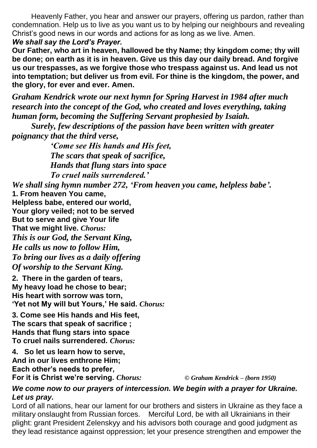Heavenly Father, you hear and answer our prayers, offering us pardon, rather than condemnation. Help us to live as you want us to by helping our neighbours and revealing Christ's good news in our words and actions for as long as we live. Amen. *We shall say the Lord's Prayer.*

**Our Father, who art in heaven, hallowed be thy Name; thy kingdom come; thy will be done; on earth as it is in heaven. Give us this day our daily bread. And forgive us our trespasses, as we forgive those who trespass against us. And lead us not into temptation; but deliver us from evil. For thine is the kingdom, the power, and the glory, for ever and ever. Amen.**

*Graham Kendrick wrote our next hymn for Spring Harvest in 1984 after much research into the concept of the God, who created and loves everything, taking human form, becoming the Suffering Servant prophesied by Isaiah.*

*Surely, few descriptions of the passion have been written with greater poignancy that the third verse,* 

> *'Come see His hands and His feet, The scars that speak of sacrifice, Hands that flung stars into space To cruel nails surrendered.'*

*We shall sing hymn number 272, 'From heaven you came, helpless babe'.* **1. From heaven You came, Helpless babe, entered our world, Your glory veiled; not to be served But to serve and give Your life That we might live.** *Chorus: This is our God, the Servant King, He calls us now to follow Him, To bring our lives as a daily offering Of worship to the Servant King.*

**2. There in the garden of tears, My heavy load he chose to bear; His heart with sorrow was torn, 'Yet not My will but Yours,' He said.** *Chorus:*

**3. Come see His hands and His feet, The scars that speak of sacrifice ; Hands that flung stars into space To cruel nails surrendered.** *Chorus:*

**4. So let us learn how to serve, And in our lives enthrone Him; Each other's needs to prefer, For it is Christ we're serving.** *Chorus: © Graham Kendrick – (born 1950)*

## *We come now to our prayers of intercession. We begin with a prayer for Ukraine. Let us pray.*

Lord of all nations, hear our lament for our brothers and sisters in Ukraine as they face a military onslaught from Russian forces. Merciful Lord, be with all Ukrainians in their plight: grant President Zelenskyy and his advisors both courage and good judgment as they lead resistance against oppression; let your presence strengthen and empower the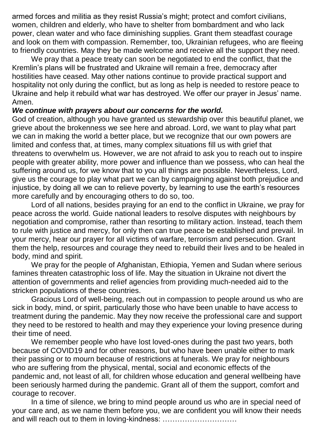armed forces and militia as they resist Russia's might; protect and comfort civilians, women, children and elderly, who have to shelter from bombardment and who lack power, clean water and who face diminishing supplies. Grant them steadfast courage and look on them with compassion. Remember, too, Ukrainian refugees, who are fleeing to friendly countries. May they be made welcome and receive all the support they need.

We pray that a peace treaty can soon be negotiated to end the conflict, that the Kremlin's plans will be frustrated and Ukraine will remain a free, democracy after hostilities have ceased. May other nations continue to provide practical support and hospitality not only during the conflict, but as long as help is needed to restore peace to Ukraine and help it rebuild what war has destroyed. We offer our prayer in Jesus' name. Amen.

#### *We continue with prayers about our concerns for the world.*

God of creation, although you have granted us stewardship over this beautiful planet, we grieve about the brokenness we see here and abroad. Lord, we want to play what part we can in making the world a better place, but we recognize that our own powers are limited and confess that, at times, many complex situations fill us with grief that threatens to overwhelm us. However, we are not afraid to ask you to reach out to inspire people with greater ability, more power and influence than we possess, who can heal the suffering around us, for we know that to you all things are possible. Nevertheless, Lord, give us the courage to play what part we can by campaigning against both prejudice and injustice, by doing all we can to relieve poverty, by learning to use the earth's resources more carefully and by encouraging others to do so, too.

Lord of all nations, besides praying for an end to the conflict in Ukraine, we pray for peace across the world. Guide national leaders to resolve disputes with neighbours by negotiation and compromise, rather than resorting to military action. Instead, teach them to rule with justice and mercy, for only then can true peace be established and prevail. In your mercy, hear our prayer for all victims of warfare, terrorism and persecution. Grant them the help, resources and courage they need to rebuild their lives and to be healed in body, mind and spirit.

We pray for the people of Afghanistan, Ethiopia, Yemen and Sudan where serious famines threaten catastrophic loss of life. May the situation in Ukraine not divert the attention of governments and relief agencies from providing much-needed aid to the stricken populations of these countries.

Gracious Lord of well-being, reach out in compassion to people around us who are sick in body, mind, or spirit, particularly those who have been unable to have access to treatment during the pandemic. May they now receive the professional care and support they need to be restored to health and may they experience your loving presence during their time of need.

We remember people who have lost loved-ones during the past two years, both because of COVID19 and for other reasons, but who have been unable either to mark their passing or to mourn because of restrictions at funerals. We pray for neighbours who are suffering from the physical, mental, social and economic effects of the pandemic and, not least of all, for children whose education and general wellbeing have been seriously harmed during the pandemic. Grant all of them the support, comfort and courage to recover.

In a time of silence, we bring to mind people around us who are in special need of your care and, as we name them before you, we are confident you will know their needs and will reach out to them in loving-kindness: …………………………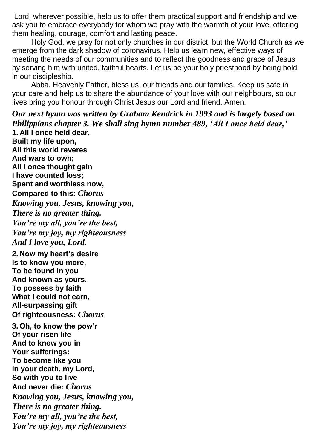Lord, wherever possible, help us to offer them practical support and friendship and we ask you to embrace everybody for whom we pray with the warmth of your love, offering them healing, courage, comfort and lasting peace.

Holy God, we pray for not only churches in our district, but the World Church as we emerge from the dark shadow of coronavirus. Help us learn new, effective ways of meeting the needs of our communities and to reflect the goodness and grace of Jesus by serving him with united, faithful hearts. Let us be your holy priesthood by being bold in our discipleship.

Abba, Heavenly Father, bless us, our friends and our families. Keep us safe in your care and help us to share the abundance of your love with our neighbours, so our lives bring you honour through Christ Jesus our Lord and friend. Amen.

*Our next hymn was written by Graham Kendrick in 1993 and is largely based on Philippians chapter 3. We shall sing hymn number 489, 'All I once held dear,'*  **1. All I once held dear, Built my life upon, All this world reveres And wars to own; All I once thought gain I have counted loss; Spent and worthless now, Compared to this:** *Chorus Knowing you, Jesus, knowing you, There is no greater thing. You're my all, you're the best, You're my joy, my righteousness And I love you, Lord.* **2. Now my heart's desire Is to know you more, To be found in you And known as yours. To possess by faith What I could not earn, All-surpassing gift Of righteousness:** *Chorus* **3. Oh, to know the pow'r Of your risen life And to know you in Your sufferings: To become like you In your death, my Lord, So with you to live And never die:** *Chorus Knowing you, Jesus, knowing you, There is no greater thing. You're my all, you're the best, You're my joy, my righteousness*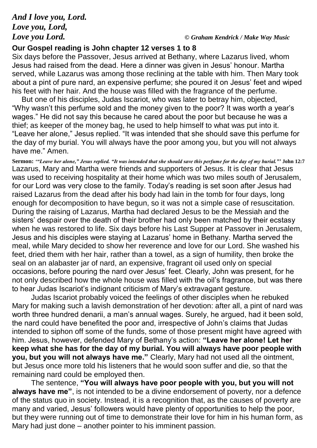# *And I love you, Lord. Love you, Lord,*

### *Love you Lord. © Graham Kendrick / Make Way Music*

#### **Our Gospel reading is John chapter 12 verses 1 to 8**

Six days before the Passover, Jesus arrived at Bethany, where Lazarus lived, whom Jesus had raised from the dead. Here a dinner was given in Jesus' honour. Martha served, while Lazarus was among those reclining at the table with him. Then Mary took about a pint of pure nard, an expensive perfume; she poured it on Jesus' feet and wiped his feet with her hair. And the house was filled with the fragrance of the perfume.

But one of his disciples, Judas Iscariot, who was later to betray him, objected, "Why wasn't this perfume sold and the money given to the poor? It was worth a year's wages." He did not say this because he cared about the poor but because he was a thief; as keeper of the money bag, he used to help himself to what was put into it. "Leave her alone," Jesus replied. "It was intended that she should save this perfume for the day of my burial. You will always have the poor among you, but you will not always have me." Amen.

**Sermon:** *'"Leave her alone," Jesus replied. "It was intended that she should save this perfume for the day of my burial."'* **John 12:7** Lazarus, Mary and Martha were friends and supporters of Jesus. It is clear that Jesus was used to receiving hospitality at their home which was two miles south of Jerusalem, for our Lord was very close to the family. Today's reading is set soon after Jesus had raised Lazarus from the dead after his body had lain in the tomb for four days, long enough for decomposition to have begun, so it was not a simple case of resuscitation. During the raising of Lazarus, Martha had declared Jesus to be the Messiah and the sisters' despair over the death of their brother had only been matched by their ecstasy when he was restored to life. Six days before his Last Supper at Passover in Jerusalem, Jesus and his disciples were staying at Lazarus' home in Bethany. Martha served the meal, while Mary decided to show her reverence and love for our Lord. She washed his feet, dried them with her hair, rather than a towel, as a sign of humility, then broke the seal on an alabaster jar of nard, an expensive, fragrant oil used only on special occasions, before pouring the nard over Jesus' feet. Clearly, John was present, for he not only described how the whole house was filled with the oil's fragrance, but was there to hear Judas Iscariot's indignant criticism of Mary's extravagant gesture.

Judas Iscariot probably voiced the feelings of other disciples when he rebuked Mary for making such a lavish demonstration of her devotion: after all, a pint of nard was worth three hundred denarii, a man's annual wages. Surely, he argued, had it been sold, the nard could have benefited the poor and, irrespective of John's claims that Judas intended to siphon off some of the funds, some of those present might have agreed with him. Jesus, however, defended Mary of Bethany's action: **"Leave her alone! Let her keep what she has for the day of my burial. You will always have poor people with you, but you will not always have me."** Clearly, Mary had not used all the ointment, but Jesus once more told his listeners that he would soon suffer and die, so that the remaining nard could be employed then.

The sentence, **"You will always have poor people with you, but you will not always have me"**, is not intended to be a divine endorsement of poverty, nor a defence of the status quo in society. Instead, it is a recognition that, as the causes of poverty are many and varied, Jesus' followers would have plenty of opportunities to help the poor, but they were running out of time to demonstrate their love for him in his human form, as Mary had just done – another pointer to his imminent passion.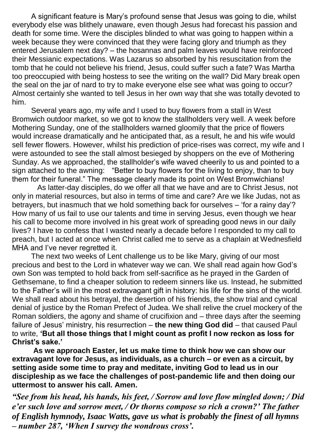A significant feature is Mary's profound sense that Jesus was going to die, whilst everybody else was blithely unaware, even though Jesus had forecast his passion and death for some time. Were the disciples blinded to what was going to happen within a week because they were convinced that they were facing glory and triumph as they entered Jerusalem next day? – the hosannas and palm leaves would have reinforced their Messianic expectations. Was Lazarus so absorbed by his resuscitation from the tomb that he could not believe his friend, Jesus, could suffer such a fate? Was Martha too preoccupied with being hostess to see the writing on the wall? Did Mary break open the seal on the jar of nard to try to make everyone else see what was going to occur? Almost certainly she wanted to tell Jesus in her own way that she was totally devoted to him.

Several years ago, my wife and I used to buy flowers from a stall in West Bromwich outdoor market, so we got to know the stallholders very well. A week before Mothering Sunday, one of the stallholders warned gloomily that the price of flowers would increase dramatically and he anticipated that, as a result, he and his wife would sell fewer flowers. However, whilst his prediction of price-rises was correct, my wife and I were astounded to see the stall almost besieged by shoppers on the eve of Mothering Sunday. As we approached, the stallholder's wife waved cheerily to us and pointed to a sign attached to the awning: "Better to buy flowers for the living to enjoy, than to buy them for their funeral." The message clearly made its point on West Bromwichians!

 As latter-day disciples, do we offer all that we have and are to Christ Jesus, not only in material resources, but also in terms of time and care? Are we like Judas, not as betrayers, but inasmuch that we hold something back for ourselves – 'for a rainy day'? How many of us fail to use our talents and time in serving Jesus, even though we hear his call to become more involved in his great work of spreading good news in our daily lives? I have to confess that I wasted nearly a decade before I responded to my call to preach, but I acted at once when Christ called me to serve as a chaplain at Wednesfield MHA and I've never regretted it.

The next two weeks of Lent challenge us to be like Mary, giving of our most precious and best to the Lord in whatever way we can. We shall read again how God's own Son was tempted to hold back from self-sacrifice as he prayed in the Garden of Gethsemane, to find a cheaper solution to redeem sinners like us. Instead, he submitted to the Father's will in the most extravagant gift in history: his life for the sins of the world. We shall read about his betrayal, the desertion of his friends, the show trial and cynical denial of justice by the Roman Prefect of Judea. We shall relive the cruel mockery of the Roman soldiers, the agony and shame of crucifixion and – three days after the seeming failure of Jesus' ministry, his resurrection – **the new thing God did** – that caused Paul to write, **'But all those things that I might count as profit I now reckon as loss for Christ's sake.'**

**As we approach Easter, let us make time to think how we can show our extravagant love for Jesus, as individuals, as a church – or even as a circuit, by setting aside some time to pray and meditate, inviting God to lead us in our discipleship as we face the challenges of post-pandemic life and then doing our uttermost to answer his call. Amen.**

*"See from his head, his hands, his feet, / Sorrow and love flow mingled down; / Did e'er such love and sorrow meet, / Or thorns compose so rich a crown?' The father of English hymnody, Isaac Watts, gave us what is probably the finest of all hymns – number 287, 'When I survey the wondrous cross'.*